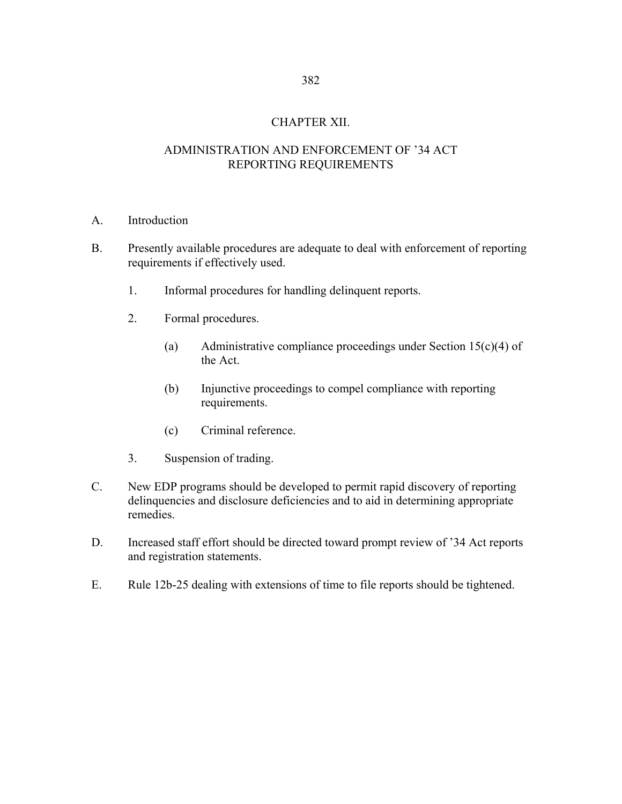# CHAPTER XII.

## ADMINISTRATION AND ENFORCEMENT OF '34 ACT REPORTING REQUIREMENTS

- A. Introduction
- B. Presently available procedures are adequate to deal with enforcement of reporting requirements if effectively used.
	- 1. Informal procedures for handling delinquent reports.
	- 2. Formal procedures.
		- (a) Administrative compliance proceedings under Section 15(c)(4) of the Act.
		- (b) Injunctive proceedings to compel compliance with reporting requirements.
		- (c) Criminal reference.
	- 3. Suspension of trading.
- C. New EDP programs should be developed to permit rapid discovery of reporting delinquencies and disclosure deficiencies and to aid in determining appropriate remedies.
- D. Increased staff effort should be directed toward prompt review of '34 Act reports and registration statements.
- E. Rule 12b-25 dealing with extensions of time to file reports should be tightened.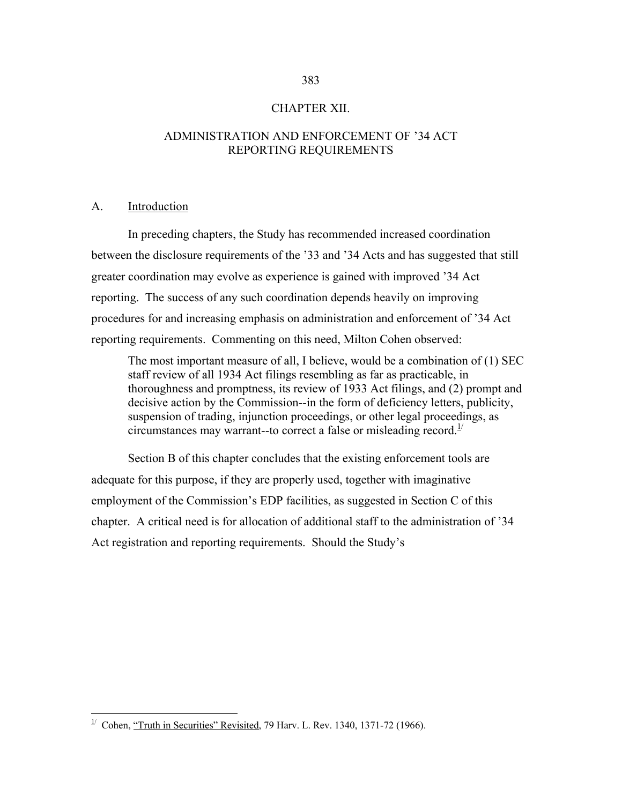### CHAPTER XII.

# ADMINISTRATION AND ENFORCEMENT OF '34 ACT REPORTING REQUIREMENTS

#### A. Introduction

 $\overline{a}$ 

 In preceding chapters, the Study has recommended increased coordination between the disclosure requirements of the '33 and '34 Acts and has suggested that still greater coordination may evolve as experience is gained with improved '34 Act reporting. The success of any such coordination depends heavily on improving procedures for and increasing emphasis on administration and enforcement of '34 Act reporting requirements. Commenting on this need, Milton Cohen observed:

The most important measure of all, I believe, would be a combination of (1) SEC staff review of all 1934 Act filings resembling as far as practicable, in thoroughness and promptness, its review of 1933 Act filings, and (2) prompt and decisive action by the Commission--in the form of deficiency letters, publicity, suspension of trading, injunction proceedings, or other legal proceedings, as circumstances may warrant--to correct a false or misleading record.<sup>1/</sup>

 Section B of this chapter concludes that the existing enforcement tools are adequate for this purpose, if they are properly used, together with imaginative employment of the Commission's EDP facilities, as suggested in Section C of this chapter. A critical need is for allocation of additional staff to the administration of '34 Act registration and reporting requirements. Should the Study's

<span id="page-1-0"></span><sup>&</sup>lt;sup> $1/$ </sup> Cohen, "Truth in Securities" Revisited, 79 Harv. L. Rev. 1340, 1371-72 (1966).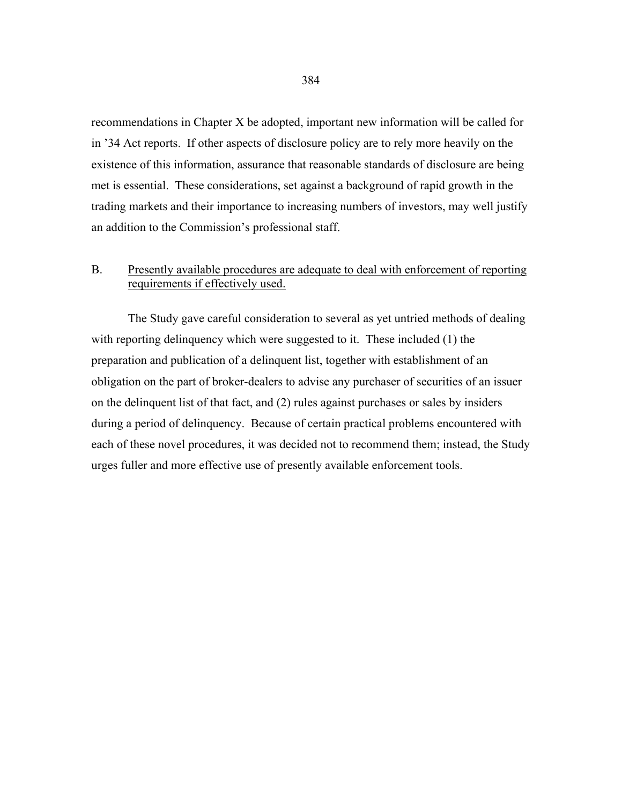recommendations in Chapter X be adopted, important new information will be called for in '34 Act reports. If other aspects of disclosure policy are to rely more heavily on the existence of this information, assurance that reasonable standards of disclosure are being met is essential. These considerations, set against a background of rapid growth in the trading markets and their importance to increasing numbers of investors, may well justify an addition to the Commission's professional staff.

# B. Presently available procedures are adequate to deal with enforcement of reporting requirements if effectively used.

 The Study gave careful consideration to several as yet untried methods of dealing with reporting delinquency which were suggested to it. These included (1) the preparation and publication of a delinquent list, together with establishment of an obligation on the part of broker-dealers to advise any purchaser of securities of an issuer on the delinquent list of that fact, and (2) rules against purchases or sales by insiders during a period of delinquency. Because of certain practical problems encountered with each of these novel procedures, it was decided not to recommend them; instead, the Study urges fuller and more effective use of presently available enforcement tools.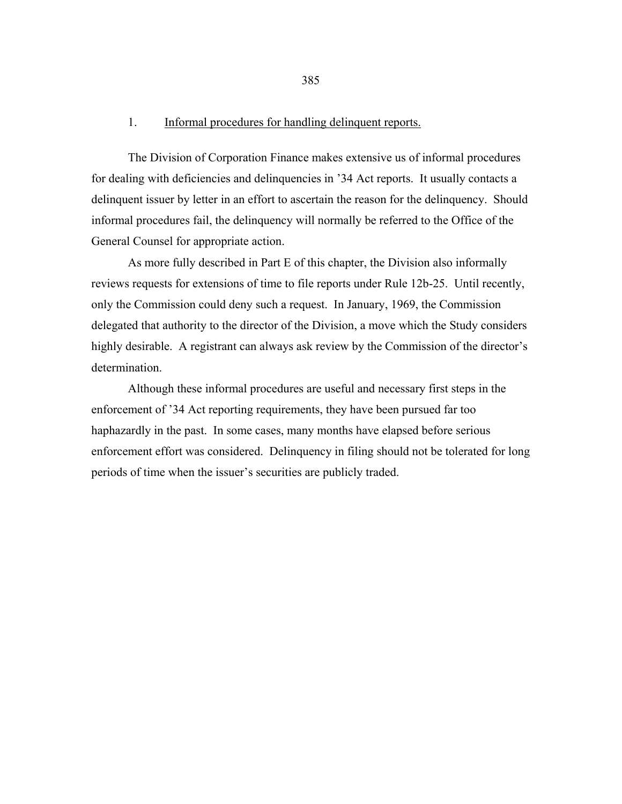#### 1. Informal procedures for handling delinquent reports.

 The Division of Corporation Finance makes extensive us of informal procedures for dealing with deficiencies and delinquencies in '34 Act reports. It usually contacts a delinquent issuer by letter in an effort to ascertain the reason for the delinquency. Should informal procedures fail, the delinquency will normally be referred to the Office of the General Counsel for appropriate action.

 As more fully described in Part E of this chapter, the Division also informally reviews requests for extensions of time to file reports under Rule 12b-25. Until recently, only the Commission could deny such a request. In January, 1969, the Commission delegated that authority to the director of the Division, a move which the Study considers highly desirable. A registrant can always ask review by the Commission of the director's determination.

 Although these informal procedures are useful and necessary first steps in the enforcement of '34 Act reporting requirements, they have been pursued far too haphazardly in the past. In some cases, many months have elapsed before serious enforcement effort was considered. Delinquency in filing should not be tolerated for long periods of time when the issuer's securities are publicly traded.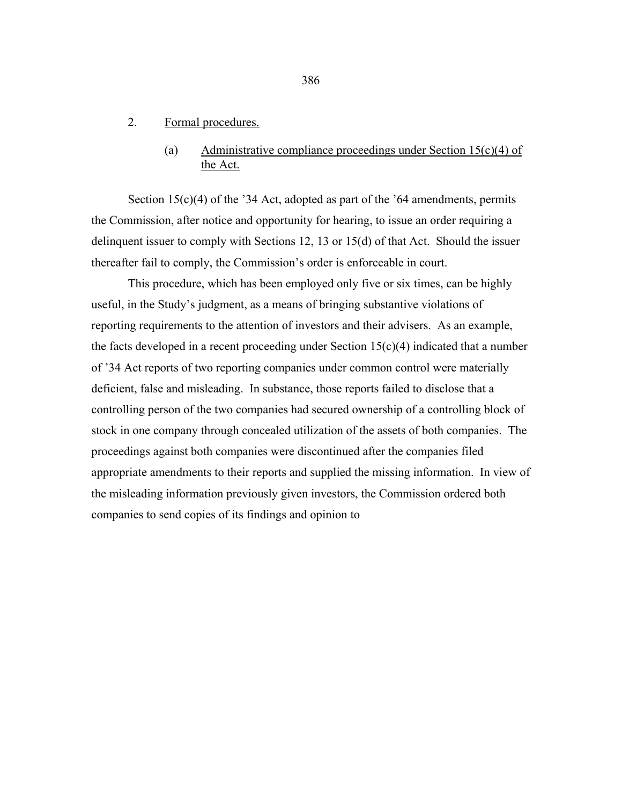### 2. Formal procedures.

## (a) Administrative compliance proceedings under Section  $15(c)(4)$  of the Act.

Section 15(c)(4) of the '34 Act, adopted as part of the '64 amendments, permits the Commission, after notice and opportunity for hearing, to issue an order requiring a delinquent issuer to comply with Sections 12, 13 or 15(d) of that Act. Should the issuer thereafter fail to comply, the Commission's order is enforceable in court.

 This procedure, which has been employed only five or six times, can be highly useful, in the Study's judgment, as a means of bringing substantive violations of reporting requirements to the attention of investors and their advisers. As an example, the facts developed in a recent proceeding under Section  $15(c)(4)$  indicated that a number of '34 Act reports of two reporting companies under common control were materially deficient, false and misleading. In substance, those reports failed to disclose that a controlling person of the two companies had secured ownership of a controlling block of stock in one company through concealed utilization of the assets of both companies. The proceedings against both companies were discontinued after the companies filed appropriate amendments to their reports and supplied the missing information. In view of the misleading information previously given investors, the Commission ordered both companies to send copies of its findings and opinion to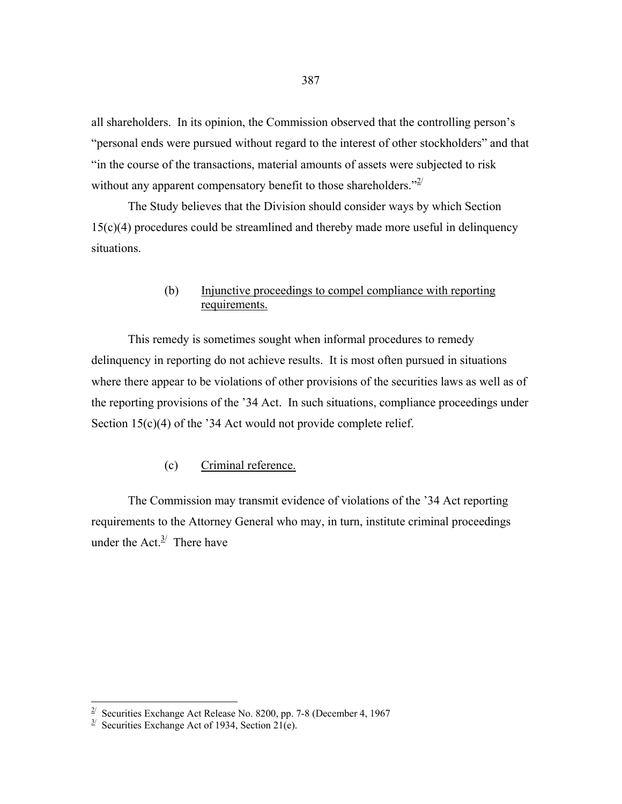all shareholders. In its opinion, the Commission observed that the controlling person's "personal ends were pursued without regard to the interest of other stockholders" and that "in the course of the transactions, material amounts of assets were subjected to risk without any apparent compensatory benefit to those shareholders." $2^{2}$ 

 The Study believes that the Division should consider ways by which Section 15(c)(4) procedures could be streamlined and thereby made more useful in delinquency situations.

# (b) Injunctive proceedings to compel compliance with reporting requirements.

 This remedy is sometimes sought when informal procedures to remedy delinquency in reporting do not achieve results. It is most often pursued in situations where there appear to be violations of other provisions of the securities laws as well as of the reporting provisions of the '34 Act. In such situations, compliance proceedings under Section 15(c)(4) of the '34 Act would not provide complete relief.

### (c) Criminal reference.

 The Commission may transmit evidence of violations of the '34 Act reporting requirements to the Attorney General who may, in turn, institute criminal proceedings under the Act. $3/$  There have

<span id="page-5-0"></span><sup>&</sup>lt;sup>2</sup> Securities Exchange Act Release No. 8200, pp. 7-8 (December 4, 1967

<span id="page-5-1"></span> $3^{\prime}$  Securities Exchange Act of 1934, Section 21(e).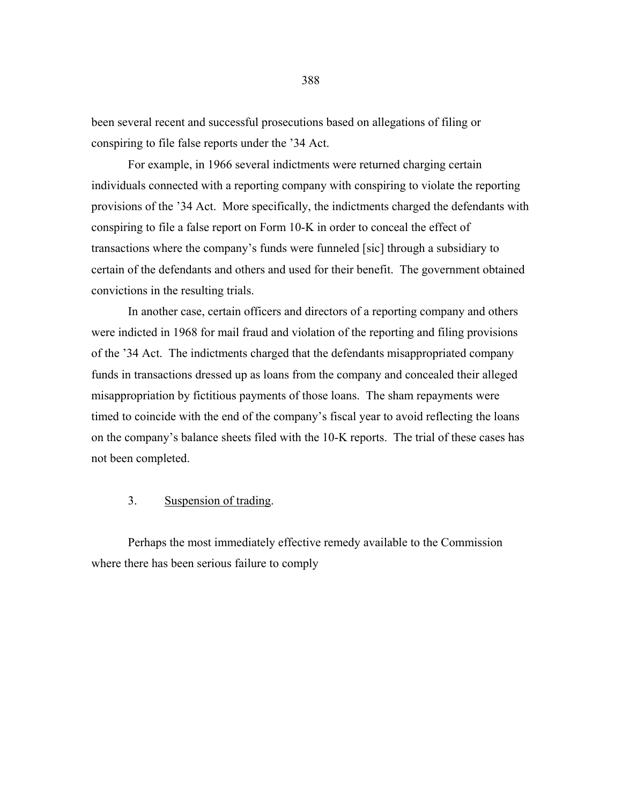been several recent and successful prosecutions based on allegations of filing or conspiring to file false reports under the '34 Act.

 For example, in 1966 several indictments were returned charging certain individuals connected with a reporting company with conspiring to violate the reporting provisions of the '34 Act. More specifically, the indictments charged the defendants with conspiring to file a false report on Form 10-K in order to conceal the effect of transactions where the company's funds were funneled [sic] through a subsidiary to certain of the defendants and others and used for their benefit. The government obtained convictions in the resulting trials.

 In another case, certain officers and directors of a reporting company and others were indicted in 1968 for mail fraud and violation of the reporting and filing provisions of the '34 Act. The indictments charged that the defendants misappropriated company funds in transactions dressed up as loans from the company and concealed their alleged misappropriation by fictitious payments of those loans. The sham repayments were timed to coincide with the end of the company's fiscal year to avoid reflecting the loans on the company's balance sheets filed with the 10-K reports. The trial of these cases has not been completed.

### 3. Suspension of trading.

 Perhaps the most immediately effective remedy available to the Commission where there has been serious failure to comply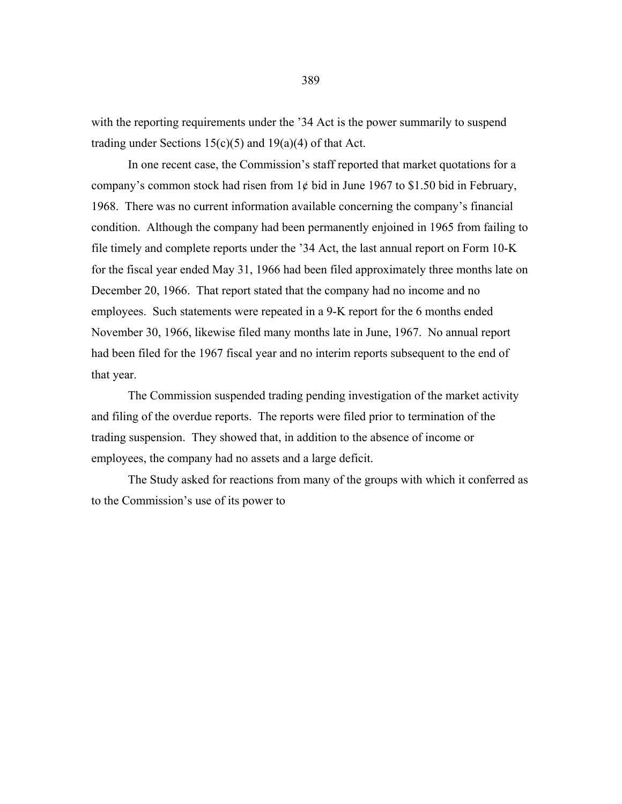with the reporting requirements under the '34 Act is the power summarily to suspend trading under Sections  $15(c)(5)$  and  $19(a)(4)$  of that Act.

 In one recent case, the Commission's staff reported that market quotations for a company's common stock had risen from  $1¢$  bid in June 1967 to \$1.50 bid in February, 1968. There was no current information available concerning the company's financial condition. Although the company had been permanently enjoined in 1965 from failing to file timely and complete reports under the '34 Act, the last annual report on Form 10-K for the fiscal year ended May 31, 1966 had been filed approximately three months late on December 20, 1966. That report stated that the company had no income and no employees. Such statements were repeated in a 9-K report for the 6 months ended November 30, 1966, likewise filed many months late in June, 1967. No annual report had been filed for the 1967 fiscal year and no interim reports subsequent to the end of that year.

 The Commission suspended trading pending investigation of the market activity and filing of the overdue reports. The reports were filed prior to termination of the trading suspension. They showed that, in addition to the absence of income or employees, the company had no assets and a large deficit.

 The Study asked for reactions from many of the groups with which it conferred as to the Commission's use of its power to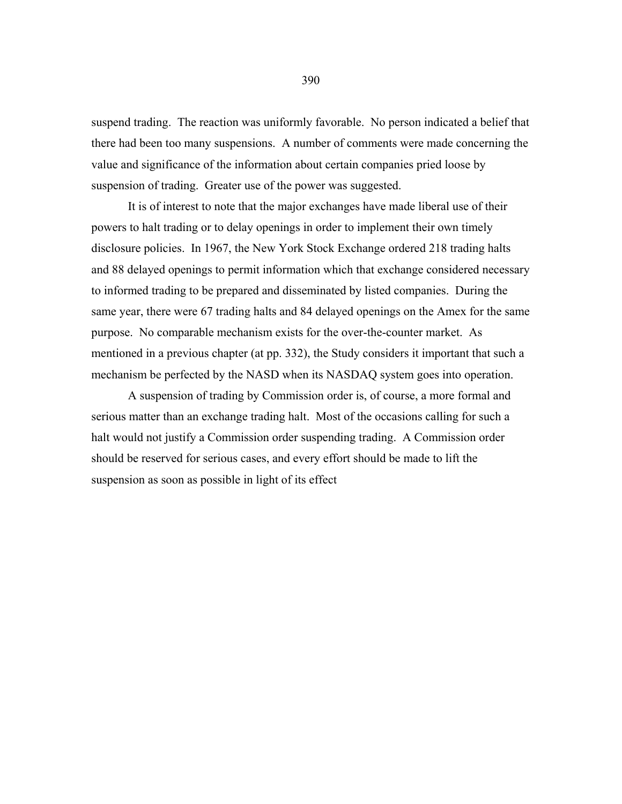suspend trading. The reaction was uniformly favorable. No person indicated a belief that there had been too many suspensions. A number of comments were made concerning the value and significance of the information about certain companies pried loose by suspension of trading. Greater use of the power was suggested.

 It is of interest to note that the major exchanges have made liberal use of their powers to halt trading or to delay openings in order to implement their own timely disclosure policies. In 1967, the New York Stock Exchange ordered 218 trading halts and 88 delayed openings to permit information which that exchange considered necessary to informed trading to be prepared and disseminated by listed companies. During the same year, there were 67 trading halts and 84 delayed openings on the Amex for the same purpose. No comparable mechanism exists for the over-the-counter market. As mentioned in a previous chapter (at pp. 332), the Study considers it important that such a mechanism be perfected by the NASD when its NASDAQ system goes into operation.

 A suspension of trading by Commission order is, of course, a more formal and serious matter than an exchange trading halt. Most of the occasions calling for such a halt would not justify a Commission order suspending trading. A Commission order should be reserved for serious cases, and every effort should be made to lift the suspension as soon as possible in light of its effect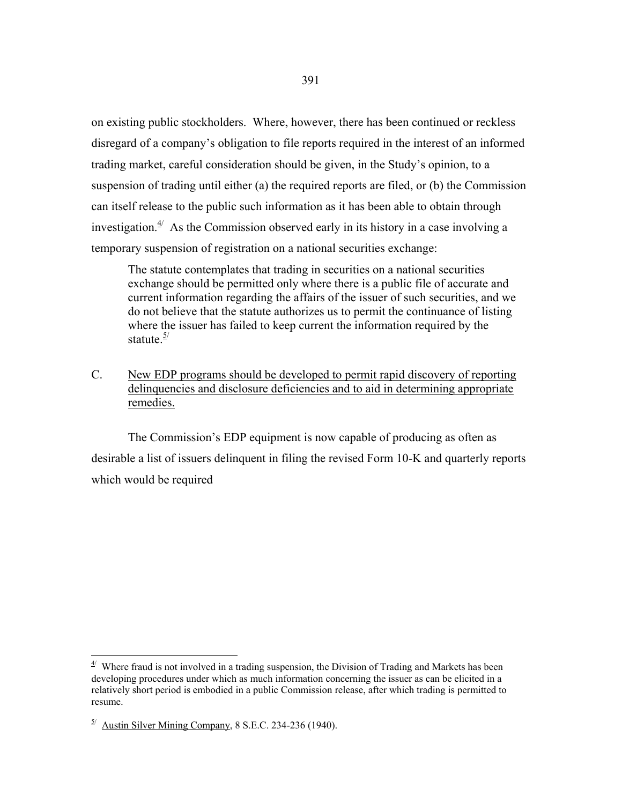on existing public stockholders. Where, however, there has been continued or reckless disregard of a company's obligation to file reports required in the interest of an informed trading market, careful consideration should be given, in the Study's opinion, to a suspension of trading until either (a) the required reports are filed, or (b) the Commission can itself release to the public such information as it has been able to obtain through investigation. $4/4$  As the Commission observed early in its history in a case involving a temporary suspension of registration on a national securities exchange:

The statute contemplates that trading in securities on a national securities exchange should be permitted only where there is a public file of accurate and current information regarding the affairs of the issuer of such securities, and we do not believe that the statute authorizes us to permit the continuance of listing where the issuer has failed to keep current the information required by the statute $\frac{5}{ }$ 

C. New EDP programs should be developed to permit rapid discovery of reporting delinquencies and disclosure deficiencies and to aid in determining appropriate remedies.

 The Commission's EDP equipment is now capable of producing as often as desirable a list of issuers delinquent in filing the revised Form 10-K and quarterly reports which would be required

 $\overline{a}$ 

<span id="page-9-0"></span> $4$ <sup> $4$ </sup> Where fraud is not involved in a trading suspension, the Division of Trading and Markets has been developing procedures under which as much information concerning the issuer as can be elicited in a relatively short period is embodied in a public Commission release, after which trading is permitted to resume.

<span id="page-9-1"></span> $^{5/}$  Austin Silver Mining Company, 8 S.E.C. 234-236 (1940).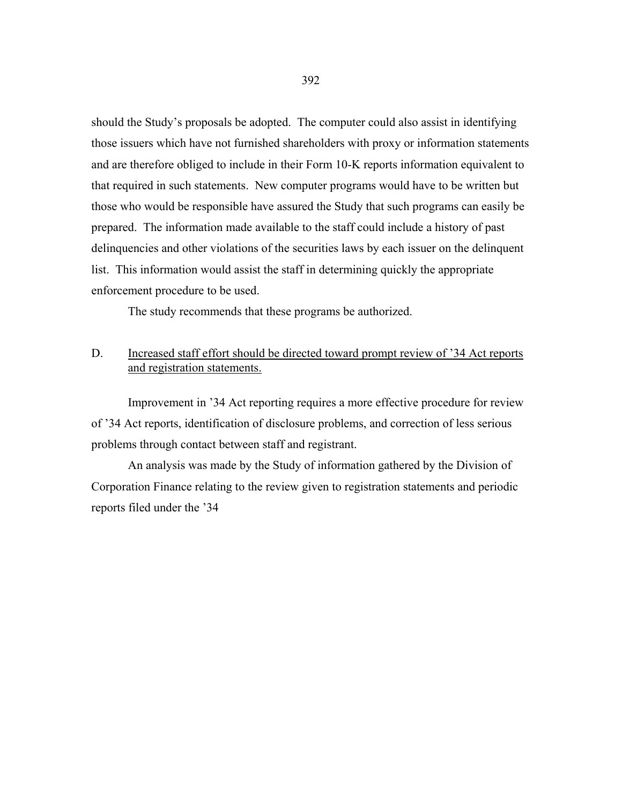should the Study's proposals be adopted. The computer could also assist in identifying those issuers which have not furnished shareholders with proxy or information statements and are therefore obliged to include in their Form 10-K reports information equivalent to that required in such statements. New computer programs would have to be written but those who would be responsible have assured the Study that such programs can easily be prepared. The information made available to the staff could include a history of past delinquencies and other violations of the securities laws by each issuer on the delinquent list. This information would assist the staff in determining quickly the appropriate enforcement procedure to be used.

The study recommends that these programs be authorized.

### D. Increased staff effort should be directed toward prompt review of '34 Act reports and registration statements.

 Improvement in '34 Act reporting requires a more effective procedure for review of '34 Act reports, identification of disclosure problems, and correction of less serious problems through contact between staff and registrant.

 An analysis was made by the Study of information gathered by the Division of Corporation Finance relating to the review given to registration statements and periodic reports filed under the '34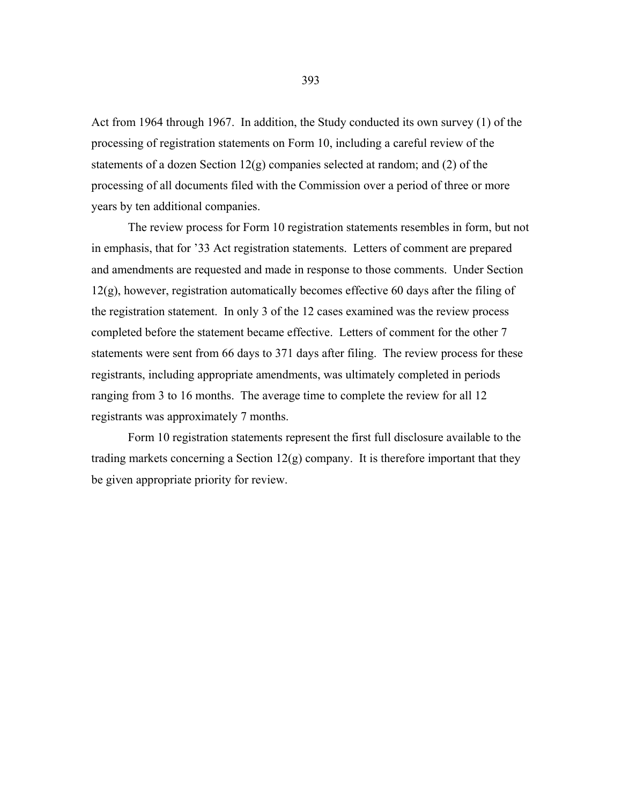Act from 1964 through 1967. In addition, the Study conducted its own survey (1) of the processing of registration statements on Form 10, including a careful review of the statements of a dozen Section 12(g) companies selected at random; and (2) of the processing of all documents filed with the Commission over a period of three or more years by ten additional companies.

 The review process for Form 10 registration statements resembles in form, but not in emphasis, that for '33 Act registration statements. Letters of comment are prepared and amendments are requested and made in response to those comments. Under Section 12(g), however, registration automatically becomes effective 60 days after the filing of the registration statement. In only 3 of the 12 cases examined was the review process completed before the statement became effective. Letters of comment for the other 7 statements were sent from 66 days to 371 days after filing. The review process for these registrants, including appropriate amendments, was ultimately completed in periods ranging from 3 to 16 months. The average time to complete the review for all 12 registrants was approximately 7 months.

 Form 10 registration statements represent the first full disclosure available to the trading markets concerning a Section  $12(g)$  company. It is therefore important that they be given appropriate priority for review.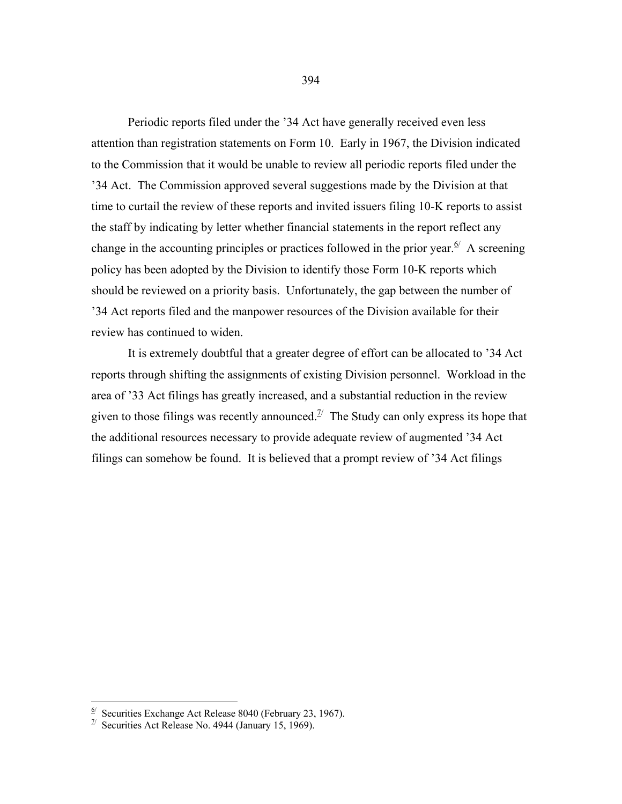Periodic reports filed under the '34 Act have generally received even less attention than registration statements on Form 10. Early in 1967, the Division indicated to the Commission that it would be unable to review all periodic reports filed under the '34 Act. The Commission approved several suggestions made by the Division at that time to curtail the review of these reports and invited issuers filing 10-K reports to assist the staff by indicating by letter whether financial statements in the report reflect any change in the accounting principles or practices followed in the prior year.  $\frac{6}{5}$  A screening policy has been adopted by the Division to identify those Form 10-K reports which should be reviewed on a priority basis. Unfortunately, the gap between the number of '34 Act reports filed and the manpower resources of the Division available for their review has continued to widen.

 It is extremely doubtful that a greater degree of effort can be allocated to '34 Act reports through shifting the assignments of existing Division personnel. Workload in the area of '33 Act filings has greatly increased, and a substantial reduction in the review given to those filings was recently announced.<sup> $\mathcal{I}'$ </sup> The Study can only express its hope that the additional resources necessary to provide adequate review of augmented '34 Act filings can somehow be found. It is believed that a prompt review of '34 Act filings

<span id="page-12-0"></span> $\frac{6}{5}$  Securities Exchange Act Release 8040 (February 23, 1967).

<span id="page-12-1"></span> $\frac{7}{1}$  Securities Act Release No. 4944 (January 15, 1969).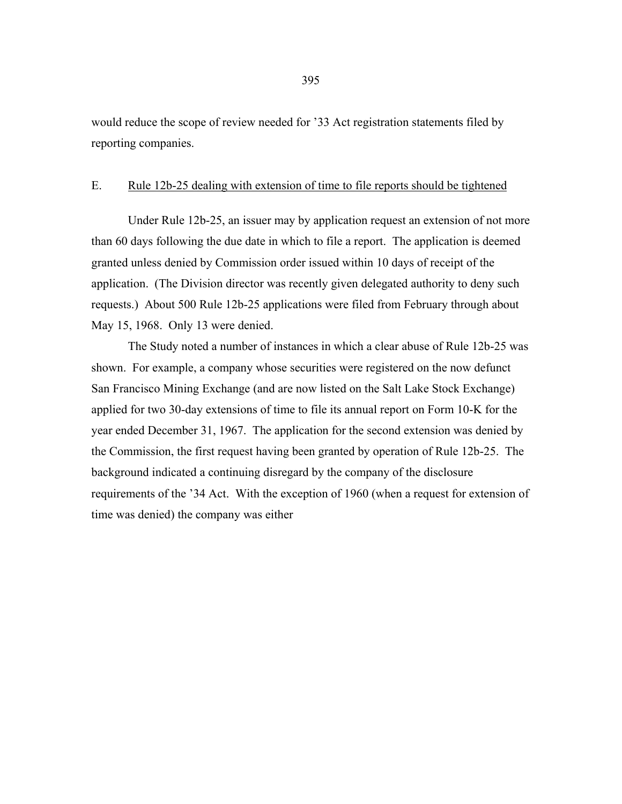would reduce the scope of review needed for '33 Act registration statements filed by reporting companies.

#### E. Rule 12b-25 dealing with extension of time to file reports should be tightened

 Under Rule 12b-25, an issuer may by application request an extension of not more than 60 days following the due date in which to file a report. The application is deemed granted unless denied by Commission order issued within 10 days of receipt of the application. (The Division director was recently given delegated authority to deny such requests.) About 500 Rule 12b-25 applications were filed from February through about May 15, 1968. Only 13 were denied.

 The Study noted a number of instances in which a clear abuse of Rule 12b-25 was shown. For example, a company whose securities were registered on the now defunct San Francisco Mining Exchange (and are now listed on the Salt Lake Stock Exchange) applied for two 30-day extensions of time to file its annual report on Form 10-K for the year ended December 31, 1967. The application for the second extension was denied by the Commission, the first request having been granted by operation of Rule 12b-25. The background indicated a continuing disregard by the company of the disclosure requirements of the '34 Act. With the exception of 1960 (when a request for extension of time was denied) the company was either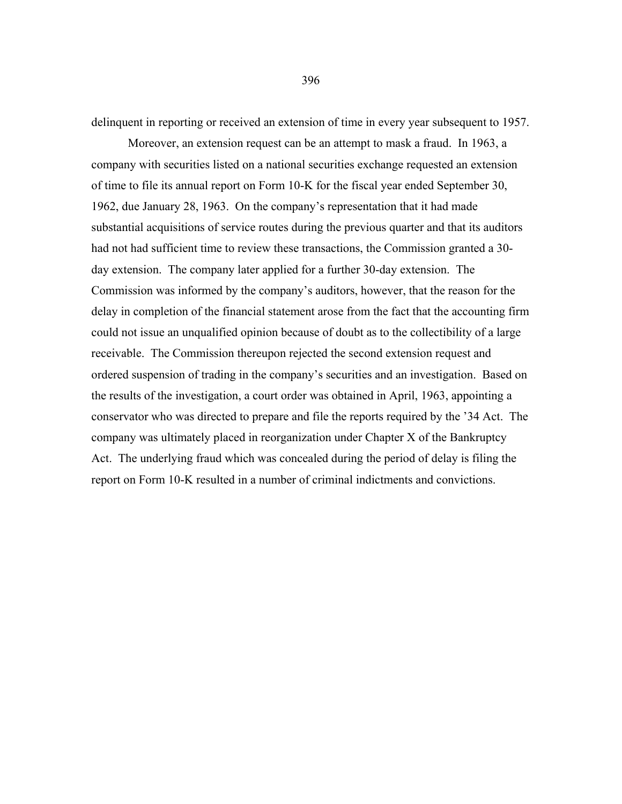delinquent in reporting or received an extension of time in every year subsequent to 1957.

 Moreover, an extension request can be an attempt to mask a fraud. In 1963, a company with securities listed on a national securities exchange requested an extension of time to file its annual report on Form 10-K for the fiscal year ended September 30, 1962, due January 28, 1963. On the company's representation that it had made substantial acquisitions of service routes during the previous quarter and that its auditors had not had sufficient time to review these transactions, the Commission granted a 30 day extension. The company later applied for a further 30-day extension. The Commission was informed by the company's auditors, however, that the reason for the delay in completion of the financial statement arose from the fact that the accounting firm could not issue an unqualified opinion because of doubt as to the collectibility of a large receivable. The Commission thereupon rejected the second extension request and ordered suspension of trading in the company's securities and an investigation. Based on the results of the investigation, a court order was obtained in April, 1963, appointing a conservator who was directed to prepare and file the reports required by the '34 Act. The company was ultimately placed in reorganization under Chapter X of the Bankruptcy Act. The underlying fraud which was concealed during the period of delay is filing the report on Form 10-K resulted in a number of criminal indictments and convictions.

396